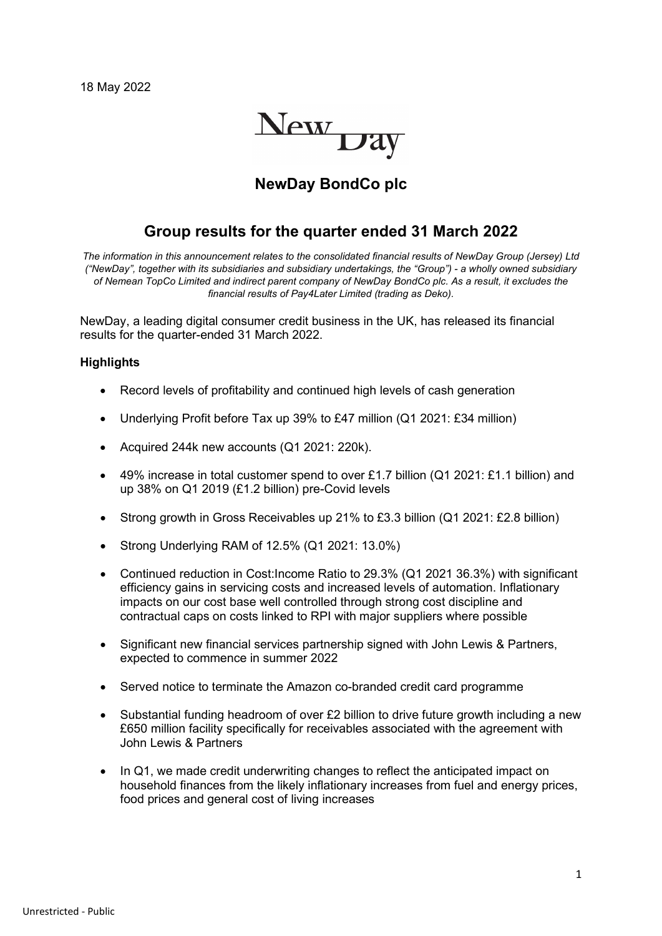

# **NewDay BondCo plc**

### **Group results for the quarter ended 31 March 2022**

*The information in this announcement relates to the consolidated financial results of NewDay Group (Jersey) Ltd ("NewDay", together with its subsidiaries and subsidiary undertakings, the "Group") - a wholly owned subsidiary of Nemean TopCo Limited and indirect parent company of NewDay BondCo plc. As a result, it excludes the financial results of Pay4Later Limited (trading as Deko).*

NewDay, a leading digital consumer credit business in the UK, has released its financial results for the quarter-ended 31 March 2022.

#### **Highlights**

- Record levels of profitability and continued high levels of cash generation
- Underlying Profit before Tax up 39% to £47 million (Q1 2021: £34 million)
- Acquired 244k new accounts (Q1 2021: 220k).
- 49% increase in total customer spend to over £1.7 billion (Q1 2021: £1.1 billion) and up 38% on Q1 2019 (£1.2 billion) pre-Covid levels
- Strong growth in Gross Receivables up 21% to £3.3 billion (Q1 2021: £2.8 billion)
- Strong Underlying RAM of 12.5% (Q1 2021: 13.0%)
- Continued reduction in Cost:Income Ratio to 29.3% (Q1 2021 36.3%) with significant efficiency gains in servicing costs and increased levels of automation. Inflationary impacts on our cost base well controlled through strong cost discipline and contractual caps on costs linked to RPI with major suppliers where possible
- Significant new financial services partnership signed with John Lewis & Partners, expected to commence in summer 2022
- Served notice to terminate the Amazon co-branded credit card programme
- Substantial funding headroom of over £2 billion to drive future growth including a new £650 million facility specifically for receivables associated with the agreement with John Lewis & Partners
- In Q1, we made credit underwriting changes to reflect the anticipated impact on household finances from the likely inflationary increases from fuel and energy prices, food prices and general cost of living increases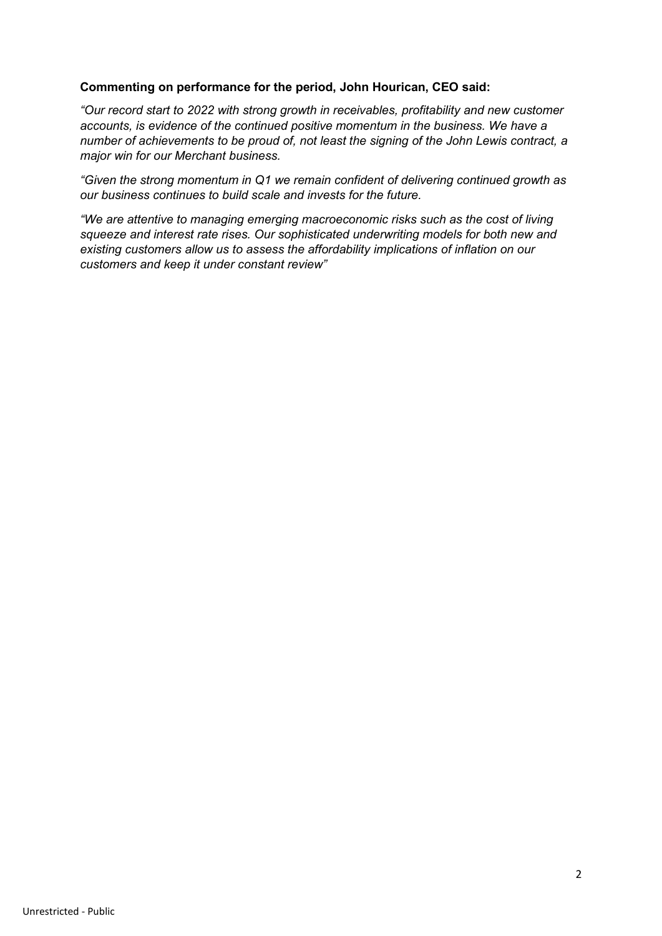#### **Commenting on performance for the period, John Hourican, CEO said:**

*"Our record start to 2022 with strong growth in receivables, profitability and new customer accounts, is evidence of the continued positive momentum in the business. We have a number of achievements to be proud of, not least the signing of the John Lewis contract, a major win for our Merchant business.* 

*"Given the strong momentum in Q1 we remain confident of delivering continued growth as our business continues to build scale and invests for the future.*

*"We are attentive to managing emerging macroeconomic risks such as the cost of living squeeze and interest rate rises. Our sophisticated underwriting models for both new and existing customers allow us to assess the affordability implications of inflation on our customers and keep it under constant review"*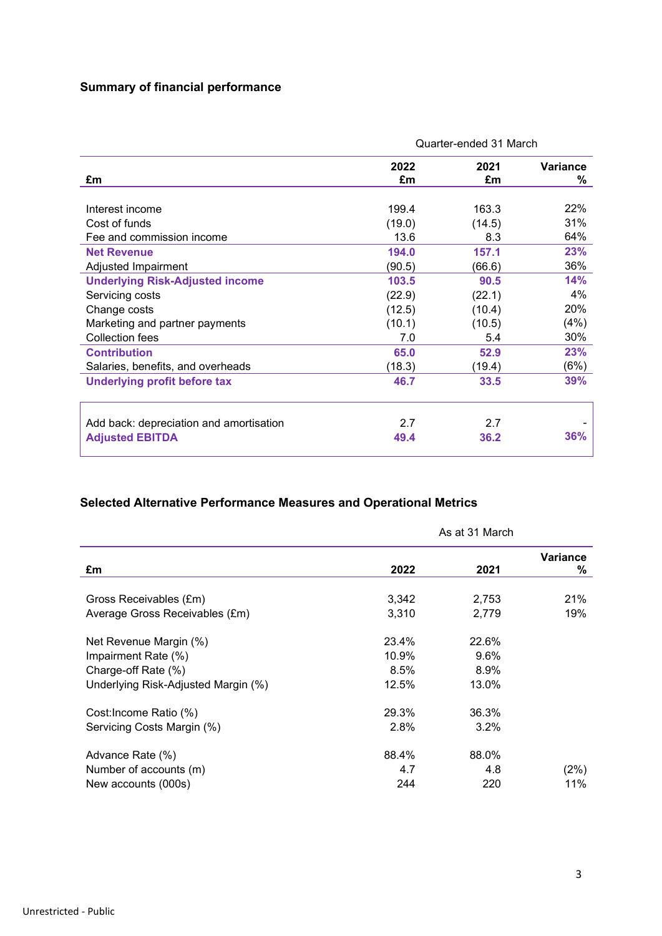# **Summary of financial performance**

|                                         | Quarter-ended 31 March |            |               |
|-----------------------------------------|------------------------|------------|---------------|
| £m                                      | 2022<br>£m             | 2021<br>£m | Variance<br>℅ |
| Interest income                         | 199.4                  | 163.3      | 22%           |
| Cost of funds                           | (19.0)                 | (14.5)     | 31%           |
| Fee and commission income               | 13.6                   | 8.3        | 64%           |
| <b>Net Revenue</b>                      | 194.0                  | 157.1      | 23%           |
| Adjusted Impairment                     | (90.5)                 | (66.6)     | 36%           |
| <b>Underlying Risk-Adjusted income</b>  | 103.5                  | 90.5       | 14%           |
| Servicing costs                         | (22.9)                 | (22.1)     | 4%            |
| Change costs                            | (12.5)                 | (10.4)     | 20%           |
| Marketing and partner payments          | (10.1)                 | (10.5)     | (4%)          |
| <b>Collection fees</b>                  | 7.0                    | 5.4        | 30%           |
| <b>Contribution</b>                     | 65.0                   | 52.9       | 23%           |
| Salaries, benefits, and overheads       | (18.3)                 | (19.4)     | (6%)          |
| Underlying profit before tax            | 46.7                   | 33.5       | 39%           |
| Add back: depreciation and amortisation | 2.7                    | 2.7        |               |
| <b>Adjusted EBITDA</b>                  | 49.4                   | 36.2       | 36%           |

# **Selected Alternative Performance Measures and Operational Metrics**

|                                     | As at 31 March |         |               |
|-------------------------------------|----------------|---------|---------------|
| £m                                  | 2022           | 2021    | Variance<br>% |
|                                     |                |         |               |
| Gross Receivables (£m)              | 3,342          | 2,753   | 21%           |
| Average Gross Receivables (£m)      | 3,310          | 2,779   | 19%           |
| Net Revenue Margin (%)              | 23.4%          | 22.6%   |               |
| Impairment Rate (%)                 | 10.9%          | 9.6%    |               |
| Charge-off Rate (%)                 | 8.5%           | 8.9%    |               |
| Underlying Risk-Adjusted Margin (%) | 12.5%          | 13.0%   |               |
| Cost: Income Ratio (%)              | 29.3%          | 36.3%   |               |
| Servicing Costs Margin (%)          | 2.8%           | $3.2\%$ |               |
| Advance Rate (%)                    | 88.4%          | 88.0%   |               |
| Number of accounts (m)              | 4.7            | 4.8     | (2%)          |
| New accounts (000s)                 | 244            | 220     | 11%           |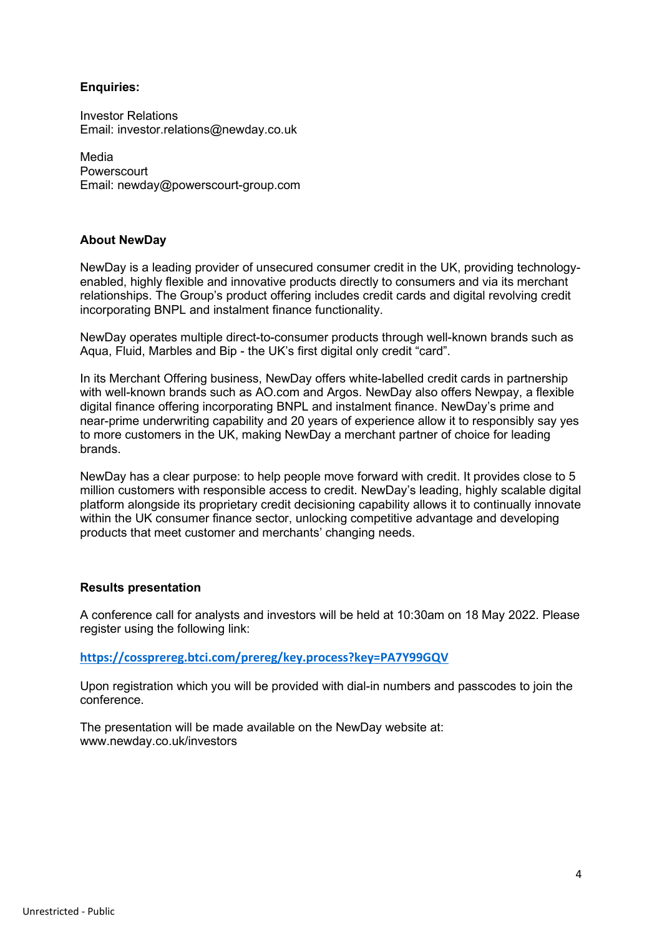### **Enquiries:**

Investor Relations Email: investor.relations@newday.co.uk

Media **Powerscourt** Email: newday@powerscourt-group.com

### **About NewDay**

NewDay is a leading provider of unsecured consumer credit in the UK, providing technologyenabled, highly flexible and innovative products directly to consumers and via its merchant relationships. The Group's product offering includes credit cards and digital revolving credit incorporating BNPL and instalment finance functionality.

NewDay operates multiple direct-to-consumer products through well-known brands such as Aqua, Fluid, Marbles and Bip - the UK's first digital only credit "card".

In its Merchant Offering business, NewDay offers white-labelled credit cards in partnership with well-known brands such as AO.com and Argos. NewDay also offers Newpay, a flexible digital finance offering incorporating BNPL and instalment finance. NewDay's prime and near-prime underwriting capability and 20 years of experience allow it to responsibly say yes to more customers in the UK, making NewDay a merchant partner of choice for leading brands.

NewDay has a clear purpose: to help people move forward with credit. It provides close to 5 million customers with responsible access to credit. NewDay's leading, highly scalable digital platform alongside its proprietary credit decisioning capability allows it to continually innovate within the UK consumer finance sector, unlocking competitive advantage and developing products that meet customer and merchants' changing needs.

### **Results presentation**

A conference call for analysts and investors will be held at 10:30am on 18 May 2022. Please register using the following link:

**<https://cossprereg.btci.com/prereg/key.process?key=PA7Y99GQV>**

Upon registration which you will be provided with dial-in numbers and passcodes to join the conference.

The presentation will be made available on the NewDay website at: www.newday.co.uk/investors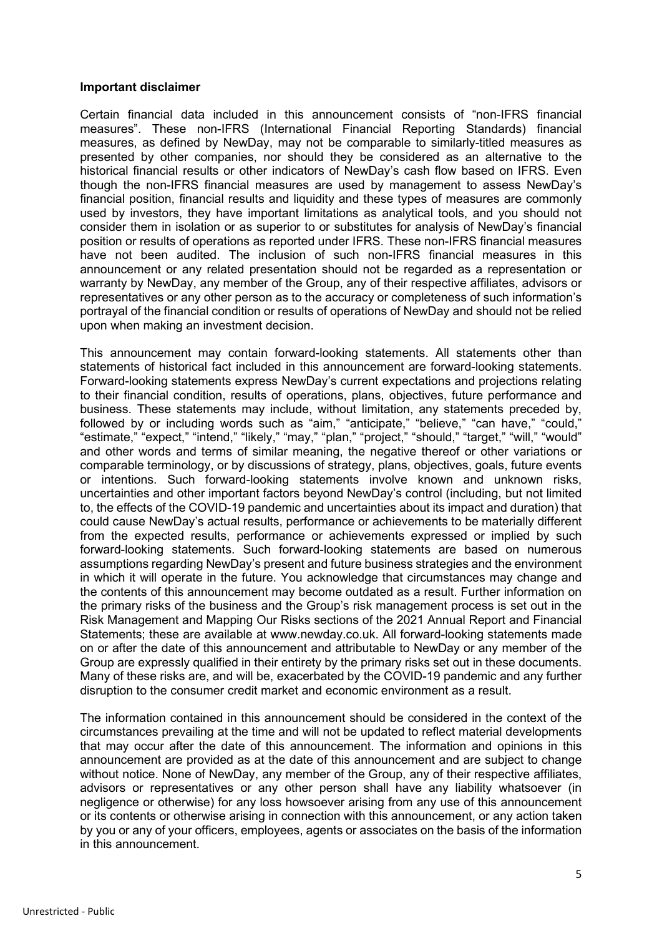#### **Important disclaimer**

Certain financial data included in this announcement consists of "non-IFRS financial measures". These non-IFRS (International Financial Reporting Standards) financial measures, as defined by NewDay, may not be comparable to similarly-titled measures as presented by other companies, nor should they be considered as an alternative to the historical financial results or other indicators of NewDay's cash flow based on IFRS. Even though the non-IFRS financial measures are used by management to assess NewDay's financial position, financial results and liquidity and these types of measures are commonly used by investors, they have important limitations as analytical tools, and you should not consider them in isolation or as superior to or substitutes for analysis of NewDay's financial position or results of operations as reported under IFRS. These non-IFRS financial measures have not been audited. The inclusion of such non-IFRS financial measures in this announcement or any related presentation should not be regarded as a representation or warranty by NewDay, any member of the Group, any of their respective affiliates, advisors or representatives or any other person as to the accuracy or completeness of such information's portrayal of the financial condition or results of operations of NewDay and should not be relied upon when making an investment decision.

This announcement may contain forward-looking statements. All statements other than statements of historical fact included in this announcement are forward-looking statements. Forward-looking statements express NewDay's current expectations and projections relating to their financial condition, results of operations, plans, objectives, future performance and business. These statements may include, without limitation, any statements preceded by, followed by or including words such as "aim," "anticipate," "believe," "can have," "could," "estimate," "expect," "intend," "likely," "may," "plan," "project," "should," "target," "will," "would" and other words and terms of similar meaning, the negative thereof or other variations or comparable terminology, or by discussions of strategy, plans, objectives, goals, future events or intentions. Such forward-looking statements involve known and unknown risks, uncertainties and other important factors beyond NewDay's control (including, but not limited to, the effects of the COVID-19 pandemic and uncertainties about its impact and duration) that could cause NewDay's actual results, performance or achievements to be materially different from the expected results, performance or achievements expressed or implied by such forward-looking statements. Such forward-looking statements are based on numerous assumptions regarding NewDay's present and future business strategies and the environment in which it will operate in the future. You acknowledge that circumstances may change and the contents of this announcement may become outdated as a result. Further information on the primary risks of the business and the Group's risk management process is set out in the Risk Management and Mapping Our Risks sections of the 2021 Annual Report and Financial Statements; these are available at www.newday.co.uk. All forward-looking statements made on or after the date of this announcement and attributable to NewDay or any member of the Group are expressly qualified in their entirety by the primary risks set out in these documents. Many of these risks are, and will be, exacerbated by the COVID-19 pandemic and any further disruption to the consumer credit market and economic environment as a result.

The information contained in this announcement should be considered in the context of the circumstances prevailing at the time and will not be updated to reflect material developments that may occur after the date of this announcement. The information and opinions in this announcement are provided as at the date of this announcement and are subject to change without notice. None of NewDay, any member of the Group, any of their respective affiliates, advisors or representatives or any other person shall have any liability whatsoever (in negligence or otherwise) for any loss howsoever arising from any use of this announcement or its contents or otherwise arising in connection with this announcement, or any action taken by you or any of your officers, employees, agents or associates on the basis of the information in this announcement.